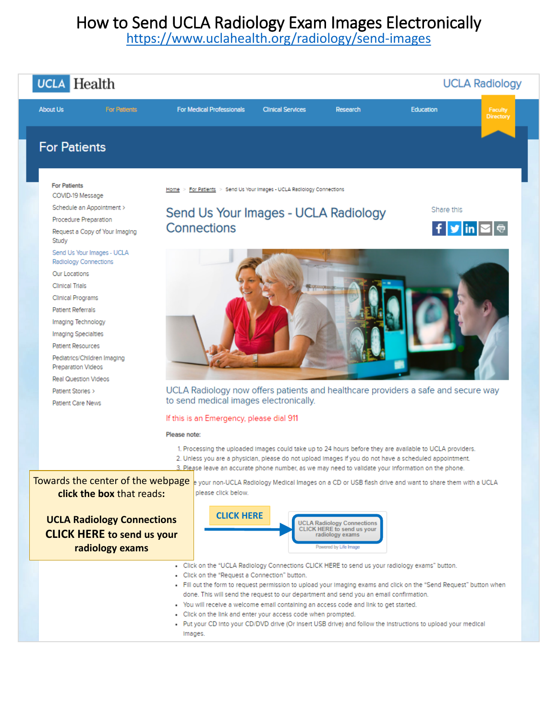<https://www.uclahealth.org/radiology/send-images>

| <b>UCLA</b> Health                                                                                                                                                                                                                                                                                                                                                          |                                                                                                                                                                                                                                                                                                                                                                                                                                                                                                                                                                                                                                                       |                                                                                                             |            | <b>UCLA Radiology</b>       |
|-----------------------------------------------------------------------------------------------------------------------------------------------------------------------------------------------------------------------------------------------------------------------------------------------------------------------------------------------------------------------------|-------------------------------------------------------------------------------------------------------------------------------------------------------------------------------------------------------------------------------------------------------------------------------------------------------------------------------------------------------------------------------------------------------------------------------------------------------------------------------------------------------------------------------------------------------------------------------------------------------------------------------------------------------|-------------------------------------------------------------------------------------------------------------|------------|-----------------------------|
| <b>For Pattents</b><br><b>About Us</b>                                                                                                                                                                                                                                                                                                                                      | <b>For Medical Professionals</b><br><b>Clinical Services</b>                                                                                                                                                                                                                                                                                                                                                                                                                                                                                                                                                                                          | Research                                                                                                    | Education  | Faculty<br>Directory        |
| <b>For Patients</b>                                                                                                                                                                                                                                                                                                                                                         |                                                                                                                                                                                                                                                                                                                                                                                                                                                                                                                                                                                                                                                       |                                                                                                             |            |                             |
| <b>For Patients</b><br>COVID-19 Message                                                                                                                                                                                                                                                                                                                                     | For Patients > Send Us Your Images - UCLA Radiology Connections                                                                                                                                                                                                                                                                                                                                                                                                                                                                                                                                                                                       |                                                                                                             |            |                             |
| Schedule an Appointment ><br>Procedure Preparation<br>Request a Copy of Your Imaging<br>Study                                                                                                                                                                                                                                                                               | Send Us Your Images - UCLA Radiology<br>Connections                                                                                                                                                                                                                                                                                                                                                                                                                                                                                                                                                                                                   |                                                                                                             | Share this | $f \times \ln \boxed{\sim}$ |
| Send Us Your Images - UCLA<br><b>Radiology Connections</b><br>Our Locations<br><b>Clinical Trials</b><br>Clinical Programs<br><b>Patlent Referrals</b><br>Imaging Technology<br>Imaging Specialties<br><b>Patlent Resources</b><br>Pediatrics/Children Imaging<br><b>Preparation Videos</b><br><b>Real Question Videos</b><br>Patient Stories ><br><b>Patlent Care News</b> | UCLA Radiology now offers patients and healthcare providers a safe and secure way<br>to send medical images electronically.<br>If this is an Emergency, please dial 911                                                                                                                                                                                                                                                                                                                                                                                                                                                                               |                                                                                                             |            |                             |
|                                                                                                                                                                                                                                                                                                                                                                             | Please note:<br>1. Processing the uploaded images could take up to 24 hours before they are available to UCLA providers.                                                                                                                                                                                                                                                                                                                                                                                                                                                                                                                              |                                                                                                             |            |                             |
| Towards the center of the webpage<br>click the box that reads:<br><b>UCLA Radiology Connections</b><br><b>CLICK HERE to send us your</b><br>radiology exams                                                                                                                                                                                                                 | 2. Unless you are a physician, please do not upload images if you do not have a scheduled appointment.<br>3. Please leave an accurate phone number, as we may need to validate your information on the phone.<br>e your non-UCLA Radiology Medical Images on a CD or USB flash drive and want to share them with a UCLA<br>please click below.<br><b>CLICK HERE</b>                                                                                                                                                                                                                                                                                   | <b>UCLA Radiology Connections</b><br>CLICK HERE to send us your<br>radiology exams<br>Powered by Life Image |            |                             |
|                                                                                                                                                                                                                                                                                                                                                                             | . Click on the "UCLA Radiology Connections CLICK HERE to send us your radiology exams" button.<br>- Click on the "Request a Connection" button.<br>. Fill out the form to request permission to upload your imaging exams and click on the "Send Request" button when<br>done. This will send the request to our department and send you an email confirmation.<br>. You will receive a welcome email containing an access code and link to get started.<br>- Click on the link and enter your access code when prompted.<br>. Put your CD Into your CD/DVD drive (Or insert USB drive) and follow the instructions to upload your medical<br>Images. |                                                                                                             |            |                             |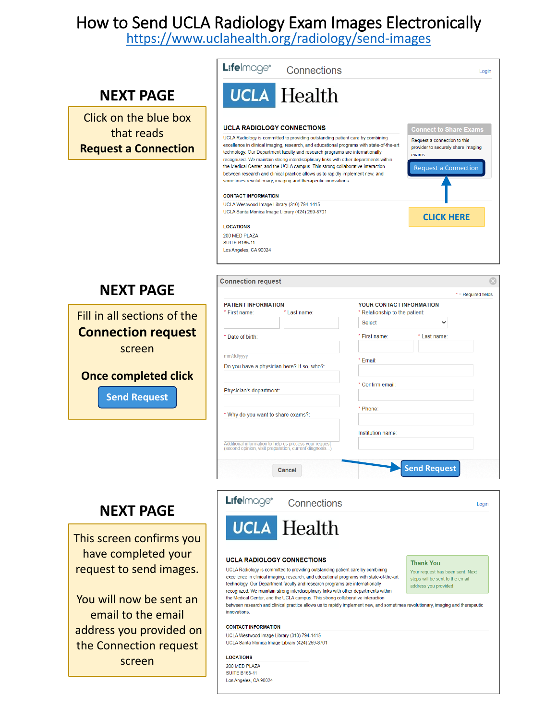<https://www.uclahealth.org/radiology/send-images>

|                                                                                                                                                                                            | <b>L:fe</b> lmage®<br>Connections<br>Login                                                                                                                                                                                                                                                                                                                                                                                                                                                                                                                                                                                                                                                                                                                                                                                                                                                                                                                                                                            |
|--------------------------------------------------------------------------------------------------------------------------------------------------------------------------------------------|-----------------------------------------------------------------------------------------------------------------------------------------------------------------------------------------------------------------------------------------------------------------------------------------------------------------------------------------------------------------------------------------------------------------------------------------------------------------------------------------------------------------------------------------------------------------------------------------------------------------------------------------------------------------------------------------------------------------------------------------------------------------------------------------------------------------------------------------------------------------------------------------------------------------------------------------------------------------------------------------------------------------------|
| <b>NEXT PAGE</b>                                                                                                                                                                           | <b>UCLA</b> Health                                                                                                                                                                                                                                                                                                                                                                                                                                                                                                                                                                                                                                                                                                                                                                                                                                                                                                                                                                                                    |
| Click on the blue box<br>that reads<br><b>Request a Connection</b>                                                                                                                         | <b>UCLA RADIOLOGY CONNECTIONS</b><br><b>Connect to Share Exams</b><br>UCLA Radiology is committed to providing outstanding patient care by combining<br>Request a connection to this<br>excellence in clinical imaging, research, and educational programs with state-of-the-art<br>provider to securely share imaging<br>technology. Our Department faculty and research programs are internationally<br>exams.<br>recognized. We maintain strong interdisciplinary links with other departments within<br>the Medical Center, and the UCLA campus. This strong collaborative interaction<br><b>Request a Connection</b><br>between research and clinical practice allows us to rapidly implement new, and<br>sometimes revolutionary, imaging and therapeutic innovations.<br><b>CONTACT INFORMATION</b><br>UCLA Westwood Image Library (310) 794-1415<br>UCLA Santa Monica Image Library (424) 259-8701<br><b>CLICK HERE</b><br><b>LOCATIONS</b><br>200 MED PLAZA<br><b>SUITE B165-11</b><br>Los Angeles, CA 90024 |
| <b>NEXT PAGE</b>                                                                                                                                                                           | <b>Connection request</b><br>$*$ = Required fields                                                                                                                                                                                                                                                                                                                                                                                                                                                                                                                                                                                                                                                                                                                                                                                                                                                                                                                                                                    |
| Fill in all sections of the<br><b>Connection request</b><br>screen<br><b>Once completed click</b><br><b>Send Request</b>                                                                   | <b>PATIENT INFORMATION</b><br>YOUR CONTACT INFORMATION<br>* First name:<br>* Last name:<br>* Relationship to the patient:<br><b>Select</b><br>$\checkmark$<br>* First name:<br>* Last name:<br>* Date of birth:<br>mm/dd/yyyy<br>* Email:<br>Do you have a physician here? If so, who?:<br>* Confirm email:<br>Physician's department:<br>* Phone:<br>* Why do you want to share exams?:<br>Institution name                                                                                                                                                                                                                                                                                                                                                                                                                                                                                                                                                                                                          |
|                                                                                                                                                                                            | Additional information to help us process your request<br>(second opinion, visit preparation, current diagnosis)<br><b>Send Request</b><br>Cancel                                                                                                                                                                                                                                                                                                                                                                                                                                                                                                                                                                                                                                                                                                                                                                                                                                                                     |
| <b>NEXT PAGE</b>                                                                                                                                                                           | L:felmage®<br>Connections<br>Login                                                                                                                                                                                                                                                                                                                                                                                                                                                                                                                                                                                                                                                                                                                                                                                                                                                                                                                                                                                    |
| This screen confirms you<br>have completed your<br>request to send images.<br>You will now be sent an<br>email to the email<br>address you provided on<br>the Connection request<br>screen | <b>UCLA</b> Health<br><b>UCLA RADIOLOGY CONNECTIONS</b><br><b>Thank You</b><br>UCLA Radiology is committed to providing outstanding patient care by combining<br>Your request has been sent. Next<br>excellence in clinical imaging, research, and educational programs with state-of-the-art<br>steps will be sent to the email<br>technology. Our Department faculty and research programs are internationally<br>address you provided.<br>recognized. We maintain strong interdisciplinary links with other departments within<br>the Medical Center, and the UCLA campus. This strong collaborative interaction<br>between research and clinical practice allows us to rapidly implement new, and sometimes revolutionary, imaging and therapeutic<br>innovations.<br><b>CONTACT INFORMATION</b><br>UCLA Westwood Image Library (310) 794-1415<br>UCLA Santa Monica Image Library (424) 259-8701<br><b>LOCATIONS</b><br>200 MED PLAZA<br><b>SUITE B165-11</b>                                                     |

Los Angeles, CA 90024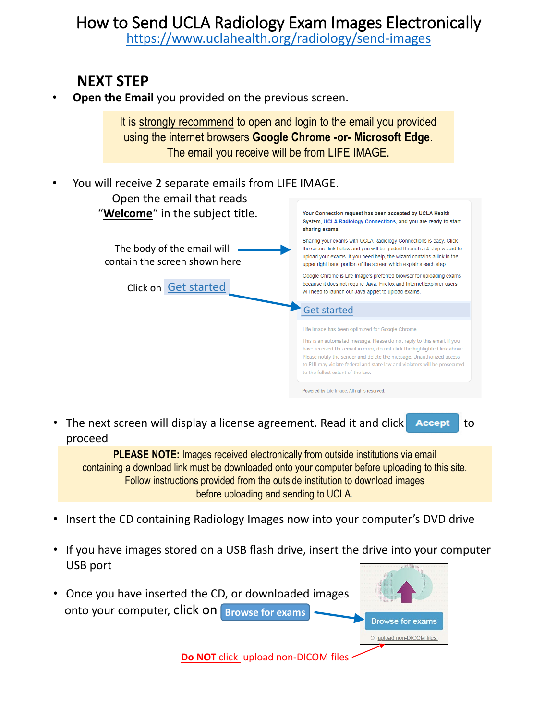<https://www.uclahealth.org/radiology/send-images>

#### **NEXT STEP**

**Open the Email** you provided on the previous screen.

It is strongly recommend to open and login to the email you provided using the internet browsers **Google Chrome -or- Microsoft Edge**. The email you receive will be from LIFE IMAGE.

| ٠ | You will receive 2 separate emails from LIFE IMAGE.          |                                                                                                                                                                                                                                                                                                                                                                                                      |
|---|--------------------------------------------------------------|------------------------------------------------------------------------------------------------------------------------------------------------------------------------------------------------------------------------------------------------------------------------------------------------------------------------------------------------------------------------------------------------------|
|   | Open the email that reads<br>"Welcome" in the subject title. | Your Connection request has been accepted by UCLA Health<br>System, UCLA Radiology Connections, and you are ready to start<br>sharing exams.                                                                                                                                                                                                                                                         |
|   | The body of the email will<br>contain the screen shown here  | Sharing your exams with UCLA Radiology Connections is easy. Click<br>the secure link below and you will be quided through a 4 step wizard to<br>upload your exams. If you need help, the wizard contains a link in the<br>upper right hand portion of the screen which explains each step.                                                                                                           |
|   | Click on Get started                                         | Google Chrome is Life Image's preferred browser for uploading exams<br>because it does not require Java. Firefox and Internet Explorer users<br>will need to launch our Java applet to upload exams.                                                                                                                                                                                                 |
|   |                                                              | <b>Get started</b>                                                                                                                                                                                                                                                                                                                                                                                   |
|   |                                                              | Life Image has been optimized for Google Chrome.<br>This is an automated message. Please do not reply to this email. If you<br>have received this email in error, do not click the highlighted link above.<br>Please notify the sender and delete the message. Unauthorized access<br>to PHI may violate federal and state law and violators will be prosecuted<br>to the fullest extent of the law. |
|   |                                                              | Powered by Life Image. All rights reserved.                                                                                                                                                                                                                                                                                                                                                          |

• The next screen will display a license agreement. Read it and click **Accept** to proceed

**PLEASE NOTE:** Images received electronically from outside institutions via email containing a download link must be downloaded onto your computer before uploading to this site. Follow instructions provided from the outside institution to download images before uploading and sending to UCLA.

- Insert the CD containing Radiology Images now into your computer's DVD drive
- If you have images stored on a USB flash drive, insert the drive into your computer USB port
- Once you have inserted the CD, or downloaded images onto your computer, click on **Browse for exams**



**Do NOT** click upload non-DICOM files